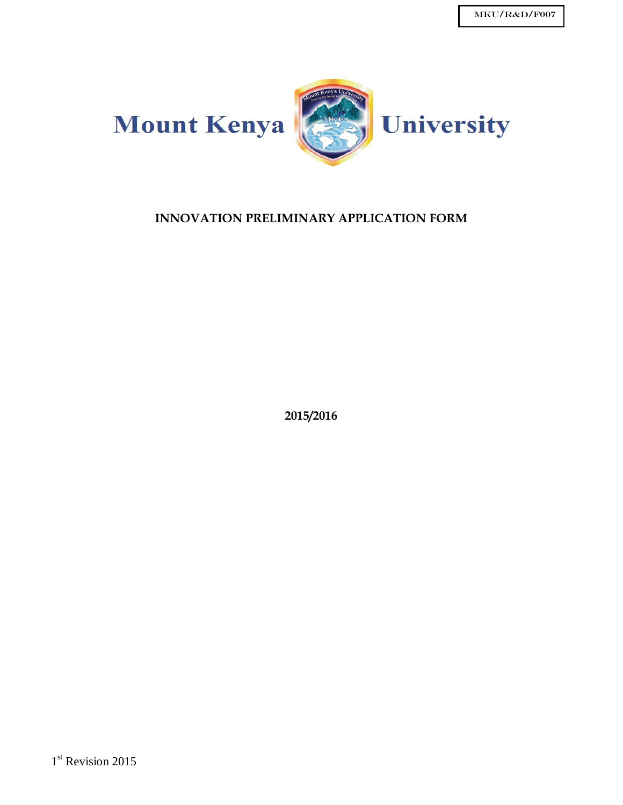

## **INNOVATION PRELIMINARY APPLICATION FORM**

**2015/2016**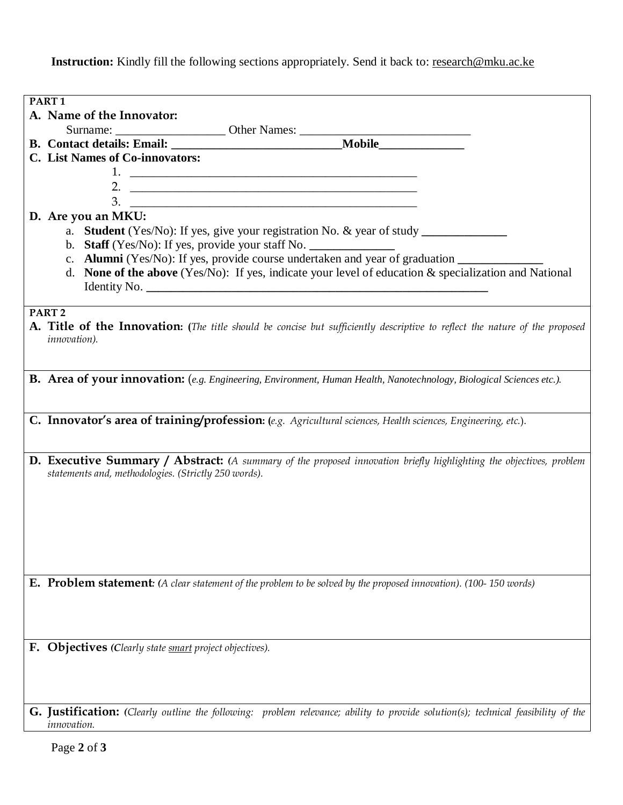Instruction: Kindly fill the following sections appropriately. Send it back to: research@mku.ac.ke

| PART <sub>1</sub>                                                                                                                                                                  |
|------------------------------------------------------------------------------------------------------------------------------------------------------------------------------------|
| A. Name of the Innovator:                                                                                                                                                          |
| Surname: Surname: Other Names: Mobile<br>B. Contact details: Email: Mobile                                                                                                         |
|                                                                                                                                                                                    |
| <b>C.</b> List Names of Co-innovators:                                                                                                                                             |
|                                                                                                                                                                                    |
| 2. $\overline{\phantom{a}}$                                                                                                                                                        |
| $3.$ $\overline{\phantom{a}}$                                                                                                                                                      |
| D. Are you an MKU:                                                                                                                                                                 |
|                                                                                                                                                                                    |
| b. Staff (Yes/No): If yes, provide your staff No. ______________________________                                                                                                   |
| c. Alumni (Yes/No): If yes, provide course undertaken and year of graduation _______________________                                                                               |
| d. None of the above (Yes/No): If yes, indicate your level of education $\&$ specialization and National                                                                           |
|                                                                                                                                                                                    |
|                                                                                                                                                                                    |
| PART <sub>2</sub>                                                                                                                                                                  |
| A. Title of the Innovation: (The title should be concise but sufficiently descriptive to reflect the nature of the proposed                                                        |
| innovation).                                                                                                                                                                       |
|                                                                                                                                                                                    |
|                                                                                                                                                                                    |
| B. Area of your innovation: (e.g. Engineering, Environment, Human Health, Nanotechnology, Biological Sciences etc.).                                                               |
|                                                                                                                                                                                    |
|                                                                                                                                                                                    |
| C. Innovator's area of training/profession: (e.g. Agricultural sciences, Health sciences, Engineering, etc.).                                                                      |
|                                                                                                                                                                                    |
|                                                                                                                                                                                    |
| <b>D. Executive Summary / Abstract:</b> (A summary of the proposed innovation briefly highlighting the objectives, problem<br>statements and, methodologies. (Strictly 250 words). |
|                                                                                                                                                                                    |
|                                                                                                                                                                                    |
|                                                                                                                                                                                    |
|                                                                                                                                                                                    |
|                                                                                                                                                                                    |
|                                                                                                                                                                                    |
|                                                                                                                                                                                    |
| <b>E. Problem statement:</b> (A clear statement of the problem to be solved by the proposed innovation). (100-150 words)                                                           |
|                                                                                                                                                                                    |
|                                                                                                                                                                                    |
|                                                                                                                                                                                    |
|                                                                                                                                                                                    |
| F. Objectives (Clearly state smart project objectives).                                                                                                                            |
|                                                                                                                                                                                    |
|                                                                                                                                                                                    |
|                                                                                                                                                                                    |
|                                                                                                                                                                                    |
| <b>G. Justification:</b> (Clearly outline the following: problem relevance; ability to provide solution(s); technical feasibility of the                                           |
| innovation.                                                                                                                                                                        |

Page **2** of **3**